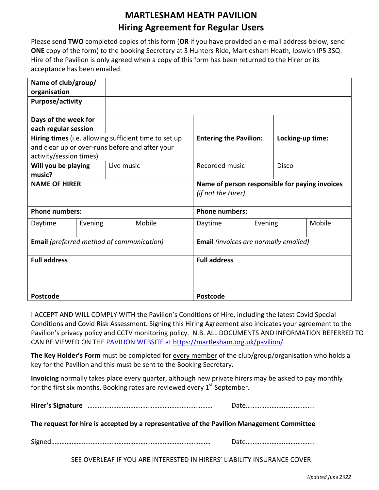## **MARTLESHAM HEATH PAVILION Hiring Agreement for Regular Users**

Please send TWO completed copies of this form (OR if you have provided an e-mail address below, send **ONE** copy of the form) to the booking Secretary at 3 Hunters Ride, Martlesham Heath, Ipswich IP5 3SQ. Hire of the Pavilion is only agreed when a copy of this form has been returned to the Hirer or its acceptance has been emailed.

| Name of club/group/                                   |         |                                                 |                                                |                               |         |                  |        |
|-------------------------------------------------------|---------|-------------------------------------------------|------------------------------------------------|-------------------------------|---------|------------------|--------|
| organisation                                          |         |                                                 |                                                |                               |         |                  |        |
| <b>Purpose/activity</b>                               |         |                                                 |                                                |                               |         |                  |        |
|                                                       |         |                                                 |                                                |                               |         |                  |        |
| Days of the week for                                  |         |                                                 |                                                |                               |         |                  |        |
| each regular session                                  |         |                                                 |                                                |                               |         |                  |        |
| Hiring times (i.e. allowing sufficient time to set up |         |                                                 |                                                | <b>Entering the Pavilion:</b> |         | Locking-up time: |        |
|                                                       |         | and clear up or over-runs before and after your |                                                |                               |         |                  |        |
| activity/session times)                               |         |                                                 |                                                |                               |         |                  |        |
| Will you be playing                                   |         | Live music                                      |                                                | Recorded music                |         | <b>Disco</b>     |        |
| music?                                                |         |                                                 |                                                |                               |         |                  |        |
| <b>NAME OF HIRER</b>                                  |         |                                                 | Name of person responsible for paying invoices |                               |         |                  |        |
|                                                       |         |                                                 |                                                | (if not the Hirer)            |         |                  |        |
|                                                       |         |                                                 |                                                |                               |         |                  |        |
| <b>Phone numbers:</b>                                 |         |                                                 | <b>Phone numbers:</b>                          |                               |         |                  |        |
| Daytime                                               | Evening |                                                 | Mobile                                         | Daytime                       | Evening |                  | Mobile |
|                                                       |         |                                                 |                                                |                               |         |                  |        |
| <b>Email</b> (preferred method of communication)      |         |                                                 | <b>Email</b> (invoices are normally emailed)   |                               |         |                  |        |
|                                                       |         |                                                 |                                                |                               |         |                  |        |
| <b>Full address</b>                                   |         |                                                 | <b>Full address</b>                            |                               |         |                  |        |
|                                                       |         |                                                 |                                                |                               |         |                  |        |
|                                                       |         |                                                 |                                                |                               |         |                  |        |
|                                                       |         |                                                 |                                                |                               |         |                  |        |
| <b>Postcode</b>                                       |         |                                                 | Postcode                                       |                               |         |                  |        |

I ACCEPT AND WILL COMPLY WITH the Pavilion's Conditions of Hire, including the latest Covid Special Conditions and Covid Risk Assessment. Signing this Hiring Agreement also indicates your agreement to the Pavilion's privacy policy and CCTV monitoring policy. N.B. ALL DOCUMENTS AND INFORMATION REFERRED TO CAN BE VIEWED ON THE PAVILION WEBSITE at https://martlesham.org.uk/pavilion/.

The Key Holder's Form must be completed for every member of the club/group/organisation who holds a key for the Pavilion and this must be sent to the Booking Secretary.

**Invoicing** normally takes place every quarter, although new private hirers may be asked to pay monthly for the first six months. Booking rates are reviewed every  $1^{st}$  September.

| The request for hire is accepted by a representative of the Pavilion Management Committee |  |
|-------------------------------------------------------------------------------------------|--|

Signed…………………..……….…………………………………………………… Date…………………..……………..

SEE OVERLEAF IF YOU ARE INTERESTED IN HIRERS' LIABILITY INSURANCE COVER